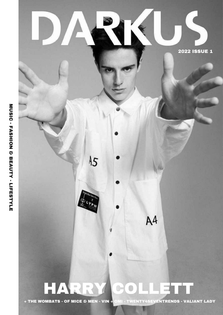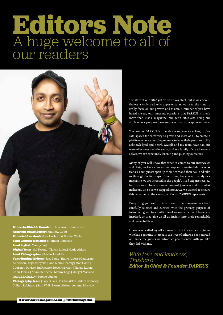### **Editors Note** A huge welcome to all of our readers



Editor-In-Chief & Founder | Thushara S. Chandrasiri **Assistant Music Editor | Matthew Codd** Editorial Assistants | Essi Harbord & Sophie Walker Lead Graphic Designer | Hannah Robinson Lead Stylist | Manny Lago

Digital Team | Sal Fasone | Tiarna Iddon | Hattie Alders Lead Videographer | Austin Tweddle

**Contributing Writers | Jess Blake | Hattie Alders | Catherine** Anderson | Lupe Baeyens | Jane-Menn Cheong | Matt Codd | Courtney Davies | Sal Fasone | Steve Harrison | Tiarna Iddon | Brian James | Adam Kennedy | Manny Lago | Margot Macleod | Laura McCluskey | Sophie Walker

Photography Team | Livy Dukes | Ellisha Iddon | Adam Kennedy | Callum Robinson | Sam Wall | Storm Walker | Jemima Marriott

The start of our 2022 got off to a slow start, but it was nevertheless a truly cathartic experience as we used the time to really focus on our growth and vision. A number of you have heard me say on numerous occasions that DARKUS is much more than just a magazine, and with 2022 also being our anniversary year, we have embraced that concept even more.

The heart of DARKUS is to celebrate and elevate voices, to give safe-spaces for creativity to grow, and most of all to create a platform where emerging names can have their passions in life acknowledged and heard. Myself and my team have had our own milestones over the years, and as a family of creatives ourselves, we are constantly learning and pushing ourselves.

Many of you will know that when it comes to our interviews and chats, we have some rather deep and meaningful conversations, as our guests open up their heart and their soul and take us through the footsteps of their lives, because ultimately as a magazine we are invested in the people's lived experiences. As humans we all have our own personal journeys and it is what makes us, us. So as we stepped into 2022, we wanted to ensure this remained at the very core of what DARKUS represents.

Everything you see in this edition of the magazine has been carefully selected and curated, with the primary purpose of introducing you to a multitude of names which will leave you inspired, as they give us all an insight into their remarkable and colourful lives.

I have never called myself a journalist, but instead a storyteller who has a genuine interest in the lives of others, so as you read on I hope the guests we introduce you resonate with you like they did with me.

*With love and kindness, Thushara Editor In Chief & Founder DARKUS*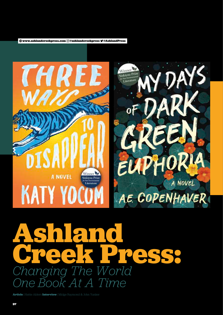www.ashlandcreekpress.com @ashlandcreekpress @AshlandPress





## **Ashland** Creek Press *Changing The World One Book At A Time*

Article | Hattie Alders Interview | Midge Raymond & John Yunker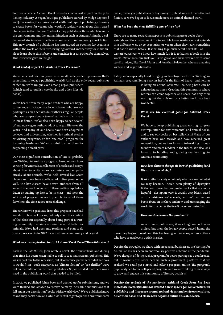For over a decade Ashland Creek Press has had a vast impact on the publishing industry. A vegan boutique publishers started by Midge Raymond and John Yunker, they have created a different type of publishing; choosing to create books for vegans who wouldn't typically read about plant-based characters in their fiction. The books they publish are those which focus on the environment and the animal kingdom such as Among Animals, a collection of stories about the lives of animals in contemporary short fiction. This new branch of publishing has introduced an opening for veganism within the world of literature, bringing forward another way for individuals to learn about this lifestyle and consider it as an option for themselves. This interview gave an insight...

### *What kind of impact has Ashland Creek Press had?*

We've survived for ten years as a small, independent press—so that's something in today's publishing world! And as the only vegan publisher

of fiction, we're unique even among vegan publishers (which tend to publish cookbooks and other lifestyle books).

We've heard from many vegan readers who are happy to see vegan protagonists in our books who are not portrayed as mad activists but rather as regular people who are compassionate toward animals—this is rare in most fiction. We've also been happy to see several of our non-vegan authors adopt a vegan life over the years. And many of our books have been adopted at colleges and universities, whether for animal-studies or writing programs, or for "one read" programs for incoming freshmen. We're thankful to all of them for supporting a small press!

Our most significant contribution of late is probably our Writing for Animals program. Based on our book Writing for Animals, a collection of articles and essays about how to write more accurately and empathetically about animals, we've held several live Zoom classes and now have a self-paced online program as well. The live classes have drawn students from all around the world—many of them getting up before dawn or staying up late to be in class—and now the self-paced program makes it possible for all of those for whom the time zones are a challenge.

The writers who graduate from this program have had wonderful feedback for us, not only about the content of the class but especially about being part of a writing community that aims to make the world better for animals. We've had open mic readings and plan to do

many more events in 2022 for our alumni community and beyond.

### *What was the inspiration to start Ashland Creek Press?/How did it start?*

Back in the late 2000s, John wrote a novel, The Tourist Trail, and during that time his agent wasn't able to sell it to a mainstream publisher. This was in part due to the recession, but also because publishers didn't see how it would fit in—such categories as "climate fiction" or "eco-thriller" were not on the radar of mainstream publishers. So, we decided that there was a need in the publishing world that needed to be filled.

In 2011, we published John's book and opened up for submissions, and we were thrilled and amazed to receive so many incredible submissions that fell under our description "books with a world view." We've published more than thirty books now, and while we're still eager to publish environmental books, the larger publishers are beginning to publish more climate-themed fiction, so we've begun to focus much more on animal-themed work.

### *What has been the most fulfilling part of it so far?*

There are so many rewarding aspects to publishing great books about animals and the environment. It's incredible to see readers look at animals in a different way, or go vegetarian or vegan when they learn something that hadn't known before. It's thrilling to publish debut novelists—as writers ourselves, we know how much fun it is to launch a book into the world. We've seen our Siskiyou Prize grow, and have worked with some terrific judges, like Carol Adams and Jonathan Balcombe, who are amazing writers and vegan advocates.

Lately we've especially loved bringing writers together for the Writing for Animals program. Being a writer isn't for the faint of heart—and neither

> is being an animal advocate—so being both can be exhausting at times. Creating this community where writers can come together and share not only their writing but their vision for a better world has been wonderful.

### *What are the eventual goals for Ashland Creek Press?*

We hope to keep publishing great writing, to grow our reputation for environmental and animal books, and to see our books on bestseller lists! Many of our authors have won awards and have received great recognition, but we look forward to breaking through to more and more readers in the future. We also look forward to building and growing our Writing for Animals community.

### *How does climate change tie in with publishing (and literature as a whole)?*

Books reflect society—not only what we are but what we may become. There's been plenty of dystopian fiction out there, but we prefer books that are more hopeful—dystopian work is usually very bleak, based on the mistakes we've made, and we'd rather our books focus on the here and now, and on changing the world for the better (before it becomes dystopian).

### *How has it been over the pandemic?*

As with most publishers, it was tough on book sales at first, but then, the longer people stayed home, the

more they began to read, and this has been good for many of our authors who have seen a lovely uptick in sales.

Despite the struggles we share with most small businesses, the Writing for Animals class has been an enormously positive outcome of the pandemic. We've thought of doing such a program for years, perhaps as a conference, but it wasn't until Zoom became such a prominent platform that we realized we could get started and offer a program online. The program's popularity led to the self-paced program, and we're thinking of new ways to grow and engage this community of literary activists.

*Despite the setback of the pandemic, Ashland Creek Press has been incredibly successful and has created a new sphere for conversations in publishing and literature around animal rights and environmentalism. All of their books and classes can be found online at EcoLit Books.*